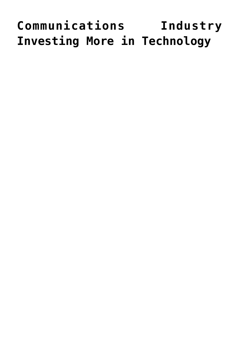# **[Communications Industry](https://www.commpro.biz/communications-industry-investing-more-in-technology/) [Investing More in Technology](https://www.commpro.biz/communications-industry-investing-more-in-technology/)**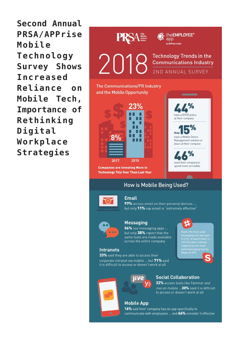Second Annual **PRSA/APPrise** Mobile Technology **Survey Shows Increased** Reliance  $0<sub>n</sub>$ Mobile Tech, Importance of Rethinking Digital Workplace Strategies





#### **Email**

97% access email on their personal devices ... but only 11% say email is "extremely effective"



## **Messaging**

56% use messaging apps ... but only 38% report that the same tools are made available across the entire company

#### **Intranets**

33% said they are able to access their corporate intranet via mobile ... but 71% said it is difficult to access or doesn't work at all



at 41%, urbyped dow<br>14% this year and wa<br>replaced as the most Skype at 30%



### **Social Collaboration**

32% access tools like Yammer and Jive on mobile ...30% said it is difficult to access or doesn't work at all

**Mobile App** 16% said their company has an app specifically to communicate with employees ... and 66% consider it effective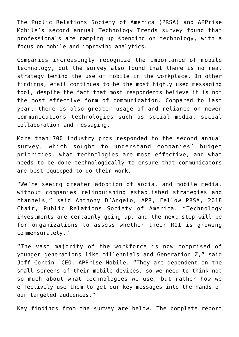[The Public Relations Society of America](https://www.commpro.biz/linkout/89180) (PRSA) and APPrise Mobile's second annual Technology Trends survey found that professionals are ramping up spending on technology, with a focus on mobile and improving analytics.

Companies increasingly recognize the importance of mobile technology, but the survey also found that there is no real strategy behind the use of mobile in the workplace. In other findings, email continues to be the most highly used messaging tool, despite the fact that most respondents believe it is not the most effective form of communication. Compared to last year, there is also greater usage of and reliance on newer communications technologies such as social media, social collaboration and messaging.

More than 700 industry pros responded to the second annual survey, which sought to understand companies' budget priorities, what technologies are most effective, and what needs to be done technologically to ensure that communicators are best equipped to do their work.

"We're seeing greater adoption of social and mobile media, without companies relinquishing established strategies and channels," said Anthony D'Angelo, APR, Fellow PRSA, 2018 Chair, Public Relations Society of America. "Technology investments are certainly going up, and the next step will be for organizations to assess whether their ROI is growing commensurately."

"The vast majority of the workforce is now comprised of younger generations like millennials and Generation Z," said Jeff Corbin, CEO, APPrise Mobile. "They are dependent on the small screens of their mobile devices, so we need to think not so much about what technologies we use, but rather how we effectively use them to get our key messages into the hands of our targeted audiences."

Key findings from the survey are below. The complete report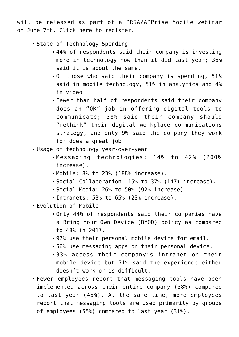will be released as part of a PRSA/APPrise Mobile webinar on June 7th. Click [here t](https://apps.prsa.org/Learning/Calendar/display/9113/Trending_Technology_Tactics_for_the_Internal_Commu#.Wv1bVxOUtZ0)o register.

- State of Technology Spending
	- 44% of respondents said their company is investing more in technology now than it did last year; 36% said it is about the same.
	- Of those who said their company is spending, 51% said in mobile technology, 51% in analytics and 4% in video.
	- Fewer than half of respondents said their company does an "OK" job in offering digital tools to communicate; 38% said their company should "rethink" their digital workplace communications strategy; and only 9% said the company they work for does a great job.
- Usage of technology year-over-year
	- Messaging technologies: 14% to 42% (200% increase).
	- Mobile: 8% to 23% (188% increase).
	- Social Collaboration: 15% to 37% (147% increase).
	- Social Media: 26% to 50% (92% increase).
	- Intranets: 53% to 65% (23% increase).
- Evolution of Mobile
	- Only 44% of respondents said their companies have a Bring Your Own Device (BYOD) policy as compared to 48% in 2017.
	- 97% use their personal mobile device for email.
	- 56% use messaging apps on their personal device.
	- 33% access their company's intranet on their mobile device but 71% said the experience either doesn't work or is difficult.
- Fewer employees report that messaging tools have been implemented across their entire company (38%) compared to last year (45%). At the same time, more employees report that messaging tools are used primarily by groups of employees (55%) compared to last year (31%).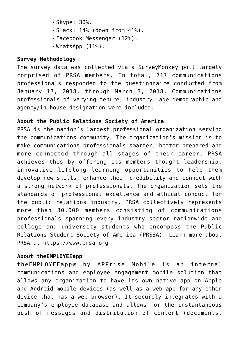- Skype: 30%.
- Slack: 14% (down from 41%).
- Facebook Messenger (12%).
- WhatsApp (11%).

## **Survey Methodology**

The survey data was collected via a SurveyMonkey poll largely comprised of PRSA members. In total, 717 communications professionals responded to the questionnaire conducted from January 17, 2018, through March 3, 2018. Communications professionals of varying tenure, industry, age demographic and agency/in-house designation were included.

# **About the Public Relations Society of America**

PRSA is the nation's largest professional organization serving the communications community. The organization's mission is to make communications professionals smarter, better prepared and more connected through all stages of their career. PRSA achieves this by offering its members thought leadership, innovative lifelong learning opportunities to help them develop new skills, enhance their credibility and connect with a strong network of professionals. The organization sets the standards of professional excellence and ethical conduct for the public relations industry. PRSA collectively represents more than 30,000 members consisting of communications professionals spanning every industry sector nationwide and college and university students who encompass the Public Relations Student Society of America (PRSSA). Learn more about PRSA at [https://www.prsa.org](https://www.prsa.org/).

## **About theEMPLOYEEapp**

theEMPLOYEEapp® by APPrise Mobile is an internal communications and employee engagement mobile solution that allows any organization to have its own native app on Apple and Android mobile devices (as well as a web app for any other device that has a web browser). It securely integrates with a company's employee database and allows for the instantaneous push of messages and distribution of content (documents,